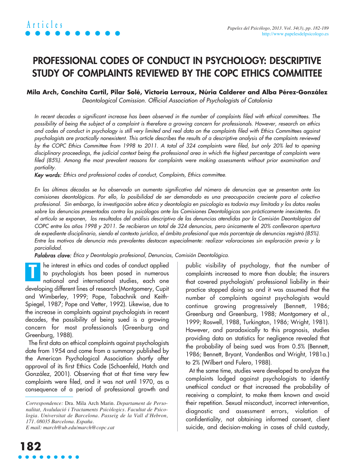# **PROFESSIONAL CODES OF CONDUCT IN PSYCHOLOGY: DESCRIPTIVE STUDY OF COMPLAINTS REVIEWED BY THE COPC ETHICS COMMITTEE**

# **Mila Arch, Conchita Cartil, Pilar Solé, Victoria Lerroux, Núria Calderer and Alba Pérez-González**

Deontological Comission. Official Association of Psychologists of Catalonia

In recent decades a significant increase has been observed in the number of complaints filed with ethical committees. The possibility of being the subject of a complaint is therefore a growing concern for professionals. However, research on ethics and codes of conduct in psychology is still very limited and real data on the complaints filed with Ethics Committees against psychologists are practically nonexistent. This article describes the results of a descriptive analysis of the complaints reviewed by the COPC Ethics Committee from 1998 to 2011. A total of 324 complaints were filed, but only 20% led to opening disciplinary proceedings, the judicial context being the professional area in which the highest percentage of complaints were filed (85%). Among the most prevalent reasons for complaints were making assessments without prior examination and partiality.

Key words: Ethics and professional codes of conduct, Complaints, Ethics committee.

En las últimas décadas se ha observado un aumento significativo del número de denuncias que se presentan ante las comisiones deontológicas. Por ello, la posibilidad de ser demandado es una preocupación creciente para el colectivo profesional. Sin embargo, la investigación sobre ética y deontología en psicología es todavía muy limitada y los datos reales sobre las denuncias presentadas contra los psicólogos ante las Comisiones Deontológicas son prácticamente inexistentes. En el artículo se exponen, los resultados del análisis descriptivo de las denuncias atendidas por la Comisión Deontológica del COPC entre los años 1998 y 2011. Se recibieron un total de 324 denuncias, pero únicamente el 20% conllevaron apertura de expediente disciplinario, siendo el contexto jurídico, el ámbito profesional que más porcentaje de denuncias registró (85%). Entre los motivos de denuncia más prevalentes destacan especialmente: realizar valoraciones sin exploración previa y la parcialidad.

Palabras clave: Ética y Deontología profesional, Denuncias, Comisión Deontológica.

he interest in ethics and codes of conduct applied to psychologists has been posed in numerous national and international studies, each one developing different lines of research (Montgomery, Cupit and Wimberley, 1999; Pope, Tabachnik and Keith-Spiegel, 1987; Pope and Vetter, 1992). Likewise, due to the increase in complaints against psychologists in recent decades, the possibility of being sued is a growing concern for most professionals (Greenburg and Greenburg, 1988). **T**

The first data on ethical complaints against psychologists date from 1954 and come from a summary published by the American Psychological Association shortly after approval of its first Ethics Code (Schoenfeld, Hatch and González, 2001). Observing that at that time very few complaints were filed, and it was not until 1970, as a consequence of a period of professional growth and

*E mail: march@ub.edu/march@copc.cat*

public visibility of psychology, that the number of complaints increased to more than double; the insurers that covered psychologists' professional liability in their practice stopped doing so and it was assumed that the number of complaints against psychologists would continue growing progressively (Bennett, 1986; Greenburg and Greenburg, 1988; Montgomery et al., 1999; Roswell, 1988, Turkington, 1986; Wright, 1981). However, and paradoxically to this prognosis, studies providing data on statistics for negligence revealed that the probability of being sued was from 0.5% (Bennett, 1986; Bennett, Bryant, VandenBos and Wright, 1981a.) to 2% (Wilbert and Fulero, 1988).

At the same time, studies were developed to analyze the complaints lodged against psychologists to identify unethical conduct or that increased the probability of receiving a complaint, to make them known and avoid their repetition. Sexual misconduct, incorrect intervention, diagnostic and assessment errors, violation of confidentiality, not obtaining informed consent, client suicide, and decision-making in cases of child custody,

*Correspondence:* Dra. Mila Arch Marin. *Departament de Personalitat, Avalulació i Tractaments Psicòlogics. Facultat de Psicologia. Universitat de Barcelona. Passeig de la Vall d'Hebron, 171. 08035 Barcelona. España.*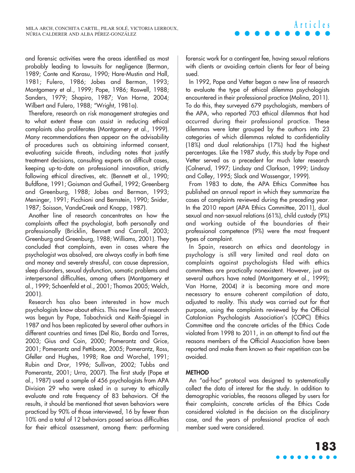and forensic activities were the areas identified as most probably leading to lawsuits for negligence (Berman, 1989; Conte and Karasu, 1990; Hare-Mustin and Hall, 1981; Fulero, 1986; Jobes and Berman, 1993; Montgomery et al., 1999; Pope, 1986; Roswell, 1988; Sanders, 1979; Shapiro, 1987; Van Horne, 2004; Wilbert and Fulero, 1988; "Wright, 1981a).

Therefore, research on risk management strategies and to what extent these can assist in reducing ethical complaints also proliferates (Montgomery et al., 1999). Many recommendations then appear on the advisability of procedures such as obtaining informed consent, evaluating suicide threats, including notes that justify treatment decisions, consulting experts on difficult cases, keeping up-to-date on professional innovation, strictly following ethical directives, etc. (Bennett et al., 1990; Bufdfone, 1991; Goisman and Gutheil, 1992; Greenberg and Greenburg, 1988; Jobes and Berman, 1993; Meninger, 1991; Picchioni and Bernstein, 1990; Snider, 1987; Soisson, VandeCreek and Knapp, 1987).

Another line of research concentrates on how the complaints affect the psychologist, both personally and professionally (Bricklin, Bennett and Carroll, 2003; Greenburg and Greenburg, 1988; Williams, 2001). They concluded that complaints, even in cases where the psychologist was absolved, are always costly in both time and money and severely stressful, can cause depression, sleep disorders, sexual dysfunction, somatic problems and interpersonal difficulties, among others (Montgomery et al., 1999; Schoenfeld et al., 2001; Thomas 2005; Welch, 2001).

Research has also been interested in how much psychologists know about ethics. This new line of research was begun by Pope, Tabachnick and Keith-Spiegel in 1987 and has been replicated by several other authors in different countries and times (Del Río, Borda and Torres, 2003; Gius and Coin, 2000; Pomerantz and Grice, 2001; Pomerantz and Pettibone, 2005; Pomerantz, Ross, Gfeller and Hughes, 1998; Rae and Worchel, 1991; Rubin and Dror, 1996; Sullivan, 2002; Tubbs and Pomerantz, 2001; Urra, 2007). The first study (Pope et al., 1987) used a sample of 456 psychologists from APA Division 29 who were asked in a survey to ethically evaluate and rate frequency of 83 behaviors. Of the results, it should be mentioned that seven behaviors were practiced by 90% of those interviewed, 16 by fewer than 10% and a total of 12 behaviors posed serious difficulties for their ethical assessment, among them: performing forensic work for a contingent fee, having sexual relations with clients or avoiding certain clients for fear of being sued.

**Articles**

In 1992, Pope and Vetter began a new line of research to evaluate the type of ethical dilemma psychologists encountered in their professional practice (Molina, 2011). To do this, they surveyed 679 psychologists, members of the APA, who reported 703 ethical dilemmas that had occurred during their professional practice. These dilemmas were later grouped by the authors into 23 categories of which dilemmas related to confidentiality (18%) and dual relationships (17%) had the highest percentages. Like the 1987 study, this study by Pope and Vetter served as a precedent for much later research (Colnerud, 1997; Lindsay and Clarkson, 1999; Lindsay and Colley, 1995; Slack and Wassengar, 1999).

From 1983 to date, the APA Ethics Committee has published an annual report in which they summarize the cases of complaints reviewed during the preceding year. In the 2010 report (APA Ethics Committee, 2011), dual sexual and non-sexual relations (61%), child custody (9%) and working outside of the boundaries of their professional competence (9%) were the most frequent types of complaint.

In Spain, research on ethics and deontology in psychology is still very limited and real data on complaints against psychologists filed with ethics committees are practically nonexistent. However, just as several authors have noted (Montgomery et al., 1999); Van Horne, 2004) it is becoming more and more necessary to ensure coherent compilation of data, adjusted to reality. This study was carried out for that purpose, using the complaints reviewed by the Official Catalonian Psychologists Association's (COPC) Ethics Committee and the concrete articles of the Ethics Code violated from 1998 to 2011, in an attempt to find out the reasons members of the Official Association have been reported and make them known so their repetition can be avoided.

## **METHOD**

An "ad-hoc" protocol was designed to systematically collect the data of interest for the study. In addition to demographic variables, the reasons alleged by users for their complaints, concrete articles of the Ethics Code considered violated in the decision on the disciplinary case, and the years of professional practice of each member sued were considered.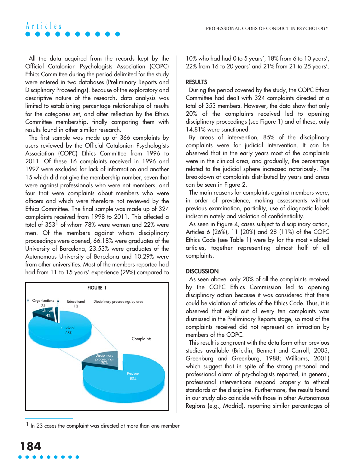# All the data acquired from the records kept by the Official Catalonian Psychologists Association (COPC) Ethics Committee during the period delimited for the study were entered in two databases (Preliminary Reports and Disciplinary Proceedings). Because of the exploratory and descriptive nature of the research, data analysis was limited to establishing percentage relationships of results for the categories set, and after reflection by the Ethics Committee membership, finally comparing them with results found in other similar research.

**Articles**

The first sample was made up of 366 complaints by users reviewed by the Official Catalonian Psychologists Association (COPC) Ethics Committee from 1996 to 2011. Of these 16 complaints received in 1996 and 1997 were excluded for lack of information and another 15 which did not give the membership number, seven that were against professionals who were not members, and four that were complaints about members who were officers and which were therefore not reviewed by the Ethics Committee. The final sample was made up of 324 complaints received from 1998 to 2011. This affected a total of  $353<sup>1</sup>$  of whom 78% were women and 22% were men. Of the members against whom disciplinary proceedings were opened, 66.18% were graduates of the University of Barcelona, 23.53% were graduates of the Autonomous University of Barcelona and 10.29% were from other universities. Most of the members reported had had from 11 to 15 years' experience (29%) compared to



<sup>1</sup> In 23 cases the complaint was directed at more than one member

10% who had had 0 to 5 years', 18% from 6 to 10 years', 22% from 16 to 20 years' and 21% from 21 to 25 years'.

### **RESULTS**

During the period covered by the study, the COPC Ethics Committee had dealt with 324 complaints directed at a total of 353 members. However, the data show that only 20% of the complaints received led to opening disciplinary proceedings (see Figure 1) and of these, only 14.81% were sanctioned.

By areas of intervention, 85% of the disciplinary complaints were for judicial intervention. It can be observed that in the early years most of the complaints were in the clinical area, and gradually, the percentage related to the judicial sphere increased notoriously. The breakdown of complaints distributed by years and areas can be seen in Figure 2.

The main reasons for complaints against members were, in order of prevalence, making assessments without previous examination, partiality, use of diagnostic labels indiscriminately and violation of confidentiality.

As seen in Figure 4, cases subject to disciplinary action, Articles 6 (26%), 11 (20%) and 28 (11%) of the COPC Ethics Code (see Table 1) were by far the most violated articles, together representing almost half of all complaints.

### **DISCUSSION**

As seen above, only 20% of all the complaints received by the COPC Ethics Commission led to opening disciplinary action because it was considered that there could be violation of articles of the Ethics Code. Thus, it is observed that eight out of every ten complaints was dismissed in the Preliminary Reports stage, so most of the complaints received did not represent an infraction by members of the COPC.

This result is congruent with the data form other previous studies available (Bricklin, Bennett and Carroll, 2003; Greenburg and Greenburg, 1988; Williams, 2001) which suggest that in spite of the strong personal and professional alarm of psychologists reported, in general, professional interventions respond properly to ethical standards of the discipline. Furthermore, the results found in our study also coincide with those in other Autonomous Regions (e.g., Madrid), reporting similar percentages of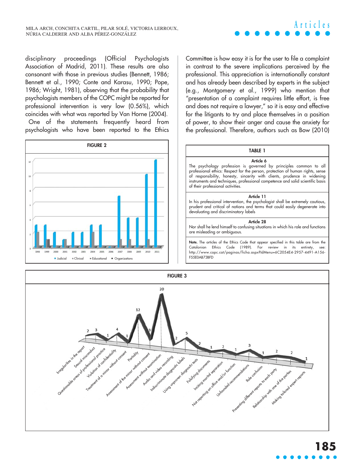

disciplinary proceedings (Official Psychologists Association of Madrid, 2011). These results are also consonant with those in previous studies (Bennett, 1986; Bennett et al., 1990; Conte and Karasu, 1990; Pope, 1986; Wright, 1981), observing that the probability that psychologists members of the COPC might be reported for professional intervention is very low (0.56%), which coincides with what was reported by Van Horne (2004).

One of the statements frequently heard from psychologists who have been reported to the Ethics



Committee is how easy it is for the user to file a complaint in contrast to the severe implications perceived by the professional. This appreciation is internationally constant and has already been described by experts in the subject (e.g., Montgomery et al., 1999) who mention that "presentation of a complaint requires little effort, is free and does not require a lawyer," so it is easy and effective for the litigants to try and place themselves in a position of power, to show their anger and cause the anxiety for the professional. Therefore, authors such as Bow (2010)

#### **TABLE 1**

**Article 6** The psychology profession is governed by principles common to all professional ethics: Respect for the person, protection of human rights, sense of responsibility, honesty, sincerity with clients, prudence in widening instruments and techniques, professional competence and solid scientific basis of their professional activities.

#### **Article 11**

In his professional intervention, the psychologist shall be extremely cautious, prudent and critical of notions and terms that could easily degenerate into devaluating and discriminatory labels

#### **Article 28**

Nor shall he lend himself to confusing situations in which his role and functions are misleading or ambiguous.

**Note.** The articles of the Ethics Code that appear specified in this table are from the Catalonian Ethics Code (1989). For review in its entirety, see: http://www.copc.cat/paginas/ficha.aspx?IdMenu=6C2054E4-2957-4491-A156- F55E0AB73BFD

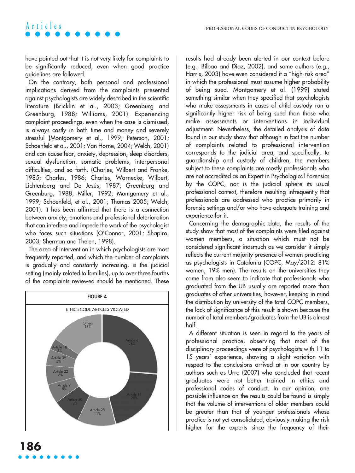# **Articles**

have pointed out that it is not very likely for complaints to be significantly reduced, even when good practice guidelines are followed.

On the contrary, both personal and professional implications derived from the complaints presented against psychologists are widely described in the scientific literature (Bricklin et al., 2003; Greenburg and Greenburg, 1988; Williams, 2001). Experiencing complaint proceedings, even when the case is dismissed, is always costly in both time and money and severely stressful (Montgomery et al., 1999; Peterson, 2001; Schoenfeld et al., 2001; Van Horne, 2004; Welch, 2001) and can cause fear, anxiety, depression, sleep disorders, sexual dysfunction, somatic problems, interpersonal difficulties, and so forth. (Charles, Wilbert and Franke, 1985; Charles, 1986; Charles, Warnecke, Wilbert, Lichtenberg and De Jesús, 1987; Greenburg and Greenburg, 1988; Miller, 1992; Montgomery et al., 1999; Schoenfeld, et al., 2001; Thomas 2005; Welch, 2001). It has been affirmed that there is a connection between anxiety, emotions and professional deterioration that can interfere and impede the work of the psychologist who faces such situations (O'Connor, 2001; Shapiro, 2003; Sherman and Thelen, 1998).

The area of intervention in which psychologists are most frequently reported, and which the number of complaints is gradually and constantly increasing, is the judicial setting (mainly related to families), up to over three fourths of the complaints reviewed should be mentioned. These



results had already been alerted in our context before (e.g., Bilbao and Díaz, 2002), and some authors (e.g., Harris, 2003) have even considered it a "high-risk area" in which the professional must assume higher probability of being sued. Montgomery et al. (1999) stated something similar when they specified that psychologists who make assessments in cases of child custody run a significantly higher risk of being sued than those who make assessments or interventions in individual adjustment. Nevertheless, the detailed analysis of data found in our study show that although in fact the number of complaints related to professional intervention corresponds to the judicial area, and specifically, to guardianship and custody of children, the members subject to these complaints are mostly professionals who are not accredited as an Expert in Psychological Forensics by the COPC, nor is the judicial sphere its usual professional context, therefore resulting infrequently that professionals are addressed who practice primarily in forensic settings and/or who have adequate training and experience for it.

Concerning the demographic data, the results of the study show that most of the complaints were filed against women members, a situation which must not be considered significant inasmuch as we consider it simply reflects the current majority presence of women practicing as psychologists in Catalonia (COPC, May/2012: 81% women, 19% men). The results on the universities they came from also seem to indicate that professionals who graduated from the UB usually are reported more than graduates of other universities, however, keeping in mind the distribution by university of the total COPC members, the lack of significance of this result is shown because the number of total members/graduates from the UB is almost half.

A different situation is seen in regard to the years of professional practice, observing that most of the disciplinary proceedings were of psychologists with 11 to 15 years' experience, showing a slight variation with respect to the conclusions arrived at in our country by authors such as Urra (2007) who concluded that recent graduates were not better trained in ethics and professional codes of conduct. In our opinion, one possible influence on the results could be found is simply that the volume of interventions of older members could be greater than that of younger professionals whose practice is not yet consolidated, obviously making the risk higher for the experts since the frequency of their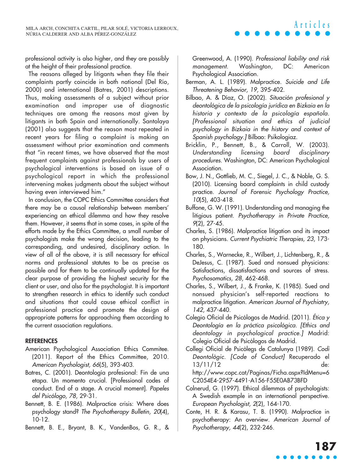professional activity is also higher, and they are possibly at the height of their professional practice.

The reasons alleged by litigants when they file their complaints partly coincide in both national (Del Río, 2000) and international (Batres, 2001) descriptions. Thus, making assessments of a subject without prior examination and improper use of diagnostic techniques are among the reasons most given by litigants in both Spain and internationally. Santolaya (2001) also suggests that the reason most repeated in recent years for filing a complaint is making an assessment without prior examination and comments that "in recent times, we have observed that the most frequent complaints against professionals by users of psychological interventions is based on issue of a psychological report in which the professional intervening makes judgments about the subject without having even interviewed him."

In conclusion, the COPC Ethics Committee considers that there may be a causal relationship between members' experiencing an ethical dilemma and how they resolve them. However, it seems that in some cases, in spite of the efforts made by the Ethics Committee, a small number of psychologists make the wrong decision, leading to the corresponding, and undesired, disciplinary action. In view of all of the above, it is still necessary for ethical norms and professional statutes to be as precise as possible and for them to be continually updated for the clear purpose of providing the highest security for the client or user, and also for the psychologist. It is important to strengthen research in ethics to identify such conduct and situations that could cause ethical conflict in professional practice and promote the design of appropriate patterns for approaching them according to the current association regulations.

## **REFERENCES**

- American Psychological Association Ethics Commitee. (2011). Report of the Ethics Committee, 2010. American Psychologist, 66(5), 393-403.
- Batres, C. (2001). Deontología profesional: Fin de una etapa. Un momento crucial. [Professional codes of conduct. End of a stage. A crucial moment]. Papeles del Psicólogo, 78, 29-31.
- Bennett, B. E. (1986). Malpractice crisis: Where does psychology stand? The Psychotherapy Bulletin, 20(4), 10-12.
- Bennett, B. E., Bryant, B. K., VandenBos, G. R., &

Greenwood, A. (1990). Professional liability and risk managemen<sup>t</sup>. Washington, DC: American Psychological Association.

- Berman, A. L. (1989). Malpractice. Suicide and Life Threatening Behavior, 19, 395-402.
- Bilbao, A. & Díaz, O. (2002). Situación profesional y deontológica de la psicología jurídica en Bizkaia en la historia y contexto de la psicología española. [Professional situation and ethics of judicial psychology in Bizkaia in the history and context of Spanish psychology.] Bilbao: Psikologiaz.
- Bricklin, P., Bennett, B., & Carroll, W. (2003). Understanding licensing board disciplinary procedures. Washington, DC: American Psychological Association.
- Bow, J. N., Gottlieb, M. C., Siegel, J. C., & Noble, G. S. (2010). Licensing board complaints in child custody practice. Journal of Forensic Psychology Practice, 10(5), 403-418.
- Buffone, G. W. (1991). Understanding and managing the litigious patient. Psychotherapy in Private Practice, 9(2), 27-45.
- Charles, S. (1986). Malpractice litigation and its impact on physicians. Current Psychiatric Therapies, 23, 173- 180.
- Charles, S., Warnecke, R., Wilbert, J., Lichtenberg, R., & DeJesus, C. (1987). Sued and nonsued physicians: Satisfactions, dissatisfactions and sources of stress. Psychosomatics, 28, 462-468.
- Charles, S., Wilbert, J., & Franke, K. (1985). Sued and nonsued physician's self-reported reactions to malpractice litigation. American Journal of Psychiatry, 142, 437-440.
- Colegio Oficial de Psicólogos de Madrid. (2011). Ética y Deontología en la práctica psicológica. [Ethics and deontology in psychological practice.] Madrid: Colegio Oficial de Psicólogos de Madrid.
- Collegi Oficial de Psicòlegs de Catalunya (1989). Codi Deontològic. [Code of Conduct] Recuperado el 13/11/12 de: http://www.copc.cat/Paginas/Ficha.aspx?IdMenu=6 C2054E4-2957-4491-A156-F55E0AB73BFD
- Colnerud, G. (1997). Ethical dilemmas of psychologists: A Swedish example in an international perspective. European Psychologist, 2(2), 164-170.
- Conte, H. R. & Karasu, T. B. (1990). Malpractice in psychotherapy: An overview. American Journal of Psychotherapy, <sup>44</sup>(2), 232-246.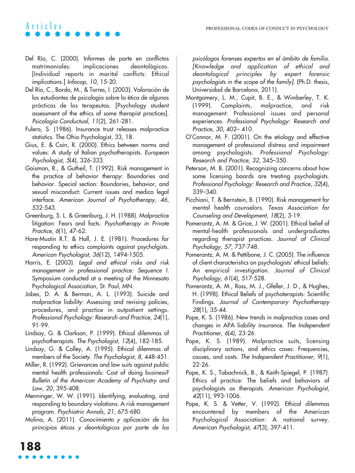# **Articles**

- Del Río, C. (2000). Informes de parte en conflictos matrimoniales: implicaciones deontológicas. [Individual reports in marital conflicts: Ethical implications.] Infocop, 10, 15-20.
- Del Río, C., Borda, M., & Torres, I. (2003). Valoración de los estudiantes de psicología sobre la ética de algunas prácticas de los terapeutas. [Psychology student assessment of the ethics of some therapist practices]. Psicología Conductual, <sup>11</sup>(2), 261-281.
- Fulero, S. (1986). Insurance trust releases malpractice statistics. The Ohio Psychologist, 33, 18.
- Gius, E. & Coin, R. (2000). Ethics between norms and values: A study of Italian psychotherapists. European Psychologist, 5(4), 326-333.
- Goisman, R., & Gutheil, T. (1992). Risk management in the practice of behavior therapy: Boundaries and behavior. Special section: Boundaries, behavior, and sexual misconduct: Current issues and medico legal interface. American Journal of Psychotherapy, 46, 532-543.
- Greenburg, S. L. & Greenburg, J. H. (1988). Malpractice litigation: Fears and facts. Psychotherapy in Private Practice, 6(1), 47-62.
- Hare-Mustin R.T. & Hall, J. E. (1981). Procedures for responding to ethics complaints against psycholgists. American Psychologist, 36(12), 1494-1505.
- Harris, E. (2003). Legal and ethical risks and risk managemen<sup>t</sup> in professional practice: Sequence I. Symposium conducted at a meeting of the Minnesota Psychological Association, St. Paul, MN.
- Jobes, D. A. & Berman, A. L. (1993). Suicide and malpractice liability: Assessing and revising policies, procedures, and practice in outpatient settings. Professional Psychology: Research and Practice, <sup>24</sup>(1), 91-99.
- Lindsay, G. & Clarkson, P. (1999). Ethical dilemmas of psychotherapists. The Psychologist, 12(4), 182-185.
- Lindsay, G. & Colley, A. (1995). Ethical dilemmas of members of the Society. The Psychologist, 8, 448-451.
- Miller, R. (1992). Grievances and law suits against public mental health professionals: Cost of doing business? Bulletin of the American Academy of Psychiatry and Law, 20, 395-408.
- Menninger, W. W. (1991). Identifying, evaluating, and responding to boundary violations: A risk management program. Psychiatric Annals, 21, 675-680.
- Molina, A. (2011). Conocimiento y aplicación de los principios éticos y deontológicos por parte de los

psicólogos forenses expertos en el ámbito de familia. [Knowledge and application of ethical and deontological principles by expert forensic psychologists in the scope of the family]. (Ph.D. thesis, Universidad de Barcelona, 2011).

- Montgomery, L. M., Cupit, B. E., & Wimberley, T. K. (1999). Complaints, malpractice, and risk management: Professional issues and personal experiences. Professional Psychology: Research and Practice, 30, 402– 410.
- O'Connor, M. F. (2001). On the etiology and effective management of professional distress and impairment among psychologists. Professional Psychology: Research and Practice, 32, 345–350.
- Peterson, M. B. (2001). Recognizing concerns about how some licensing boards are treating psychologists. Professional Psychology: Research and Practice, 32(4), 339–340.
- Picchioni, T. & Bernstein, B. (1990). Risk management for mental health counselors. Texas Association for Counseling and Development, 18(2), 3-19.
- Pomerantz, A. M. & Grice, J. W. (2001). Ethical belief of mental-health professionals and undergraduates regarding therapist practices. Journal of Clinical Psychology, <sup>57</sup>, 737-748.
- Pomerantz, A. M. & Pettibone, J. C. (2005). The influence of client characteristics on psychologists' ethical beliefs: An empirical investigation. Journal of Clinical Psychology, 61(4), 517-528.
- Pomerantz, A. M., Ross, M. J., Gfeller, J. D., & Hughes, H. (1998). Ethical Beliefs of psychoterapists: Scientific Findings. Journal of Contemporary Psychotherapy 28(1), 35-44.
- Pope, K. S. (1986). New trends in malpractice cases and changes in APA liability insurance. The Independent Practitioner, 6(4), 23-26.
- Pope, K. S. (1989). Malpractice suits, licensing disciplinary actions, and ethics cases: Frequencies, causes, and costs. The Independent Practitioner, 9(1), 22-26.
- Pope, K. S., Tabachnick, B., & Keith-Spiegel, P. (1987). Ethics of practice: The beliefs and behaviors of psychologists as therapists. American Psychologist, 42(11), 993-1006.
- Pope, K. S. & Vetter, V. (1992). Ethical dilemmas encountered by members of the American Psychological Association: A national survey. American Psychologist, 47(3), 397-411.